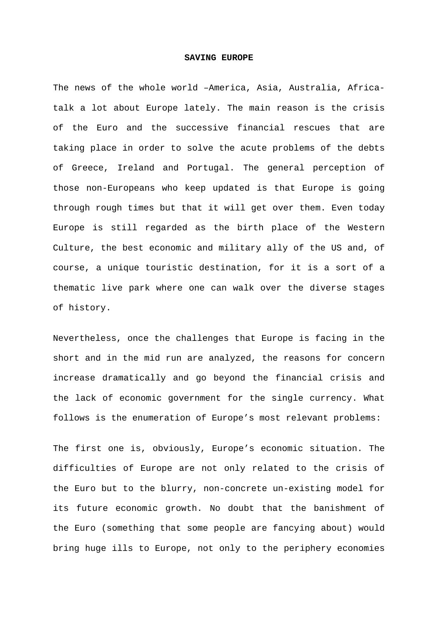## **SAVING EUROPE**

The news of the whole world –America, Asia, Australia, Africatalk a lot about Europe lately. The main reason is the crisis of the Euro and the successive financial rescues that are taking place in order to solve the acute problems of the debts of Greece, Ireland and Portugal. The general perception of those non-Europeans who keep updated is that Europe is going through rough times but that it will get over them. Even today Europe is still regarded as the birth place of the Western Culture, the best economic and military ally of the US and, of course, a unique touristic destination, for it is a sort of a thematic live park where one can walk over the diverse stages of history.

Nevertheless, once the challenges that Europe is facing in the short and in the mid run are analyzed, the reasons for concern increase dramatically and go beyond the financial crisis and the lack of economic government for the single currency. What follows is the enumeration of Europe's most relevant problems:

The first one is, obviously, Europe's economic situation. The difficulties of Europe are not only related to the crisis of the Euro but to the blurry, non-concrete un-existing model for its future economic growth. No doubt that the banishment of the Euro (something that some people are fancying about) would bring huge ills to Europe, not only to the periphery economies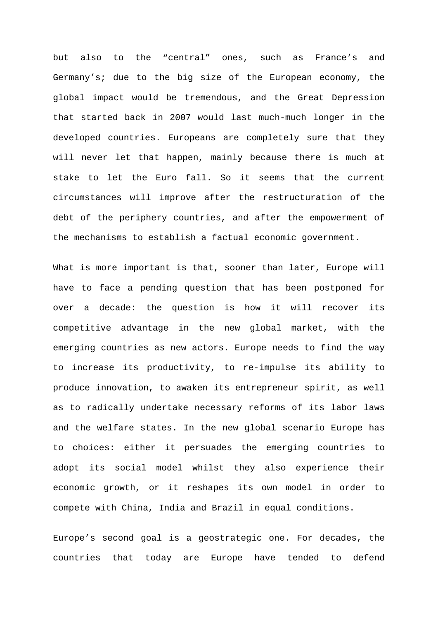but also to the "central" ones, such as France's and Germany's; due to the big size of the European economy, the global impact would be tremendous, and the Great Depression that started back in 2007 would last much-much longer in the developed countries. Europeans are completely sure that they will never let that happen, mainly because there is much at stake to let the Euro fall. So it seems that the current circumstances will improve after the restructuration of the debt of the periphery countries, and after the empowerment of the mechanisms to establish a factual economic government.

What is more important is that, sooner than later, Europe will have to face a pending question that has been postponed for over a decade: the question is how it will recover its competitive advantage in the new global market, with the emerging countries as new actors. Europe needs to find the way to increase its productivity, to re-impulse its ability to produce innovation, to awaken its entrepreneur spirit, as well as to radically undertake necessary reforms of its labor laws and the welfare states. In the new global scenario Europe has to choices: either it persuades the emerging countries to adopt its social model whilst they also experience their economic growth, or it reshapes its own model in order to compete with China, India and Brazil in equal conditions.

Europe's second goal is a geostrategic one. For decades, the countries that today are Europe have tended to defend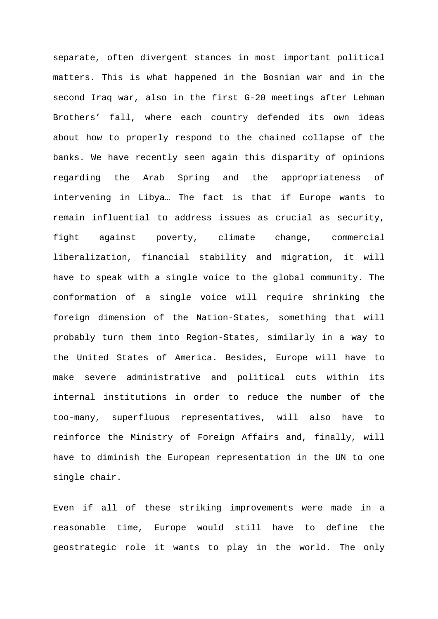separate, often divergent stances in most important political matters. This is what happened in the Bosnian war and in the second Iraq war, also in the first G-20 meetings after Lehman Brothers' fall, where each country defended its own ideas about how to properly respond to the chained collapse of the banks. We have recently seen again this disparity of opinions regarding the Arab Spring and the appropriateness of intervening in Libya… The fact is that if Europe wants to remain influential to address issues as crucial as security, fight against poverty, climate change, commercial liberalization, financial stability and migration, it will have to speak with a single voice to the global community. The conformation of a single voice will require shrinking the foreign dimension of the Nation-States, something that will probably turn them into Region-States, similarly in a way to the United States of America. Besides, Europe will have to make severe administrative and political cuts within its internal institutions in order to reduce the number of the too-many, superfluous representatives, will also have to reinforce the Ministry of Foreign Affairs and, finally, will have to diminish the European representation in the UN to one single chair.

Even if all of these striking improvements were made in a reasonable time, Europe would still have to define the geostrategic role it wants to play in the world. The only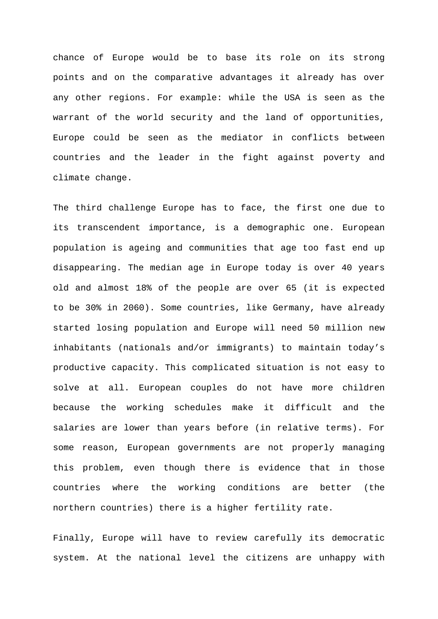chance of Europe would be to base its role on its strong points and on the comparative advantages it already has over any other regions. For example: while the USA is seen as the warrant of the world security and the land of opportunities, Europe could be seen as the mediator in conflicts between countries and the leader in the fight against poverty and climate change.

The third challenge Europe has to face, the first one due to its transcendent importance, is a demographic one. European population is ageing and communities that age too fast end up disappearing. The median age in Europe today is over 40 years old and almost 18% of the people are over 65 (it is expected to be 30% in 2060). Some countries, like Germany, have already started losing population and Europe will need 50 million new inhabitants (nationals and/or immigrants) to maintain today's productive capacity. This complicated situation is not easy to solve at all. European couples do not have more children because the working schedules make it difficult and the salaries are lower than years before (in relative terms). For some reason, European governments are not properly managing this problem, even though there is evidence that in those countries where the working conditions are better (the northern countries) there is a higher fertility rate.

Finally, Europe will have to review carefully its democratic system. At the national level the citizens are unhappy with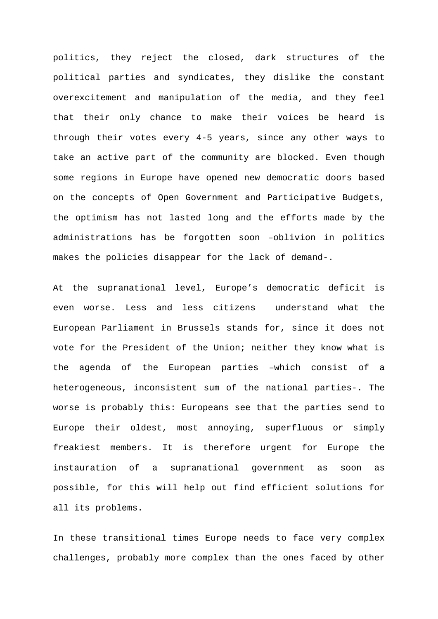politics, they reject the closed, dark structures of the political parties and syndicates, they dislike the constant overexcitement and manipulation of the media, and they feel that their only chance to make their voices be heard is through their votes every 4-5 years, since any other ways to take an active part of the community are blocked. Even though some regions in Europe have opened new democratic doors based on the concepts of Open Government and Participative Budgets, the optimism has not lasted long and the efforts made by the administrations has be forgotten soon –oblivion in politics makes the policies disappear for the lack of demand-.

At the supranational level, Europe's democratic deficit is even worse. Less and less citizens understand what the European Parliament in Brussels stands for, since it does not vote for the President of the Union; neither they know what is the agenda of the European parties –which consist of a heterogeneous, inconsistent sum of the national parties-. The worse is probably this: Europeans see that the parties send to Europe their oldest, most annoying, superfluous or simply freakiest members. It is therefore urgent for Europe the instauration of a supranational government as soon as possible, for this will help out find efficient solutions for all its problems.

In these transitional times Europe needs to face very complex challenges, probably more complex than the ones faced by other